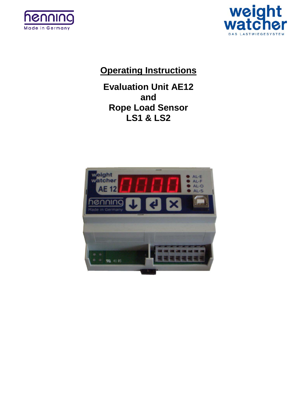



# **Operating Instructions**

**Evaluation Unit AE12 and Rope Load Sensor LS1 & LS2**

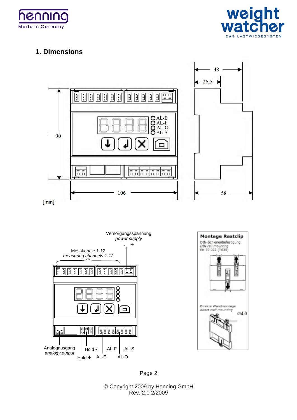



# **1. Dimensions**



Page 2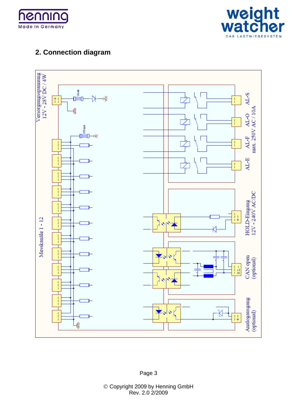



# **2. Connection diagram**

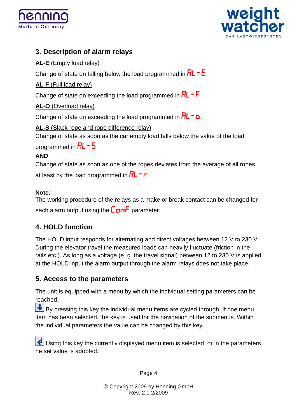![](_page_3_Picture_0.jpeg)

![](_page_3_Picture_1.jpeg)

# **3. Description of alarm relays**

### **AL-E** (Empty load relay)

Change of state on falling below the load programmed in  $\mathsf{RL} \cap \mathsf{E}$ .

### **AL-F** (Full load relay)

Change of state on exceeding the load programmed in  $HL$  -  $F$ .

### **AL-O** (Overload relay)

Change of state on exceeding the load programmed in  $\mathsf{RL} \cap \mathsf{Q}$ .

**AL-S** (Slack rope and rope difference relay)

Change of state as soon as the car empty load falls below the value of the load

programmed in  $HL - 5$ 

### **AND**

Change of state as soon as one of the ropes deviates from the average of all ropes at least by the load programmed in  $HL$  -  $\Gamma$ .

### **Note:**

The working procedure of the relays as a make or break contact can be changed for each alarm output using the  $\epsilon$  on F parameter.

# **4. HOLD function**

The HOLD input responds for alternating and direct voltages between 12 V to 230 V. During the elevator travel the measured loads can heavily fluctuate (friction in the rails etc.). As long as a voltage (e. g. the travel signal) between 12 to 230 V is applied at the HOLD input the alarm output through the alarm relays does not take place.

# **5. Access to the parameters**

The unit is equipped with a menu by which the individual setting parameters can be reached.

 $\bigcup$  By pressing this key the individual menu items are cycled through. If one menu item has been selected, the key is used for the navigation of the submenus. Within the individual parameters the value can be changed by this key.

Using this key the currently displayed menu item is selected, or in the parameters he set value is adopted.

Page 4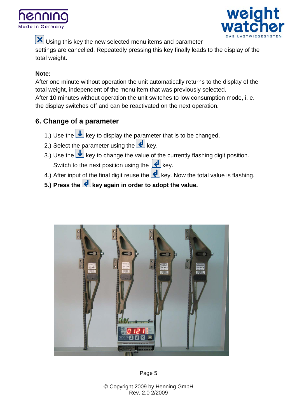![](_page_4_Picture_0.jpeg)

![](_page_4_Picture_1.jpeg)

 $\mathbf X$  Using this key the new selected menu items and parameter settings are cancelled. Repeatedly pressing this key finally leads to the display of the total weight.

#### **Note:**

After one minute without operation the unit automatically returns to the display of the total weight, independent of the menu item that was previously selected. After 10 minutes without operation the unit switches to low consumption mode, i. e. the display switches off and can be reactivated on the next operation.

# **6. Change of a parameter**

- 1.) Use the  $\bigcup$  key to display the parameter that is to be changed.
- 2.) Select the parameter using the  $\bigcup$  key.
- 3.) Use the  $\bigcup$  key to change the value of the currently flashing digit position. Switch to the next position using the  $\left| \right|$  key.
- 4.) After input of the final digit reuse the  $\left| \bullet \right|$  key. Now the total value is flashing.
- **5.)** Press the **k**ey again in order to adopt the value.

![](_page_4_Picture_11.jpeg)

Page 5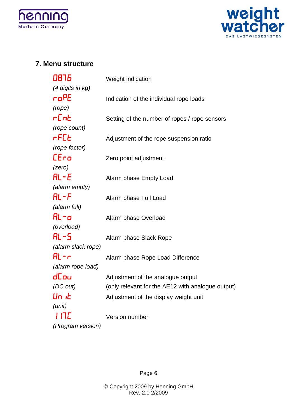![](_page_5_Picture_0.jpeg)

![](_page_5_Picture_1.jpeg)

### **7. Menu structure**

| 0876               | Weight indication                                 |
|--------------------|---------------------------------------------------|
| (4 digits in kg)   |                                                   |
| roPE               | Indication of the individual rope loads           |
| (rope)             |                                                   |
| r[nb               | Setting of the number of ropes / rope sensors     |
| (rope count)       |                                                   |
| rF[E               | Adjustment of the rope suspension ratio           |
| (rope factor)      |                                                   |
| [Ero               | Zero point adjustment                             |
| (zero)             |                                                   |
| $HL - E$           | Alarm phase Empty Load                            |
| (alarm empty)      |                                                   |
| AL-F               | Alarm phase Full Load                             |
| (alarm full)       |                                                   |
| AL-o               | Alarm phase Overload                              |
| (overload)         |                                                   |
| AL-5               | Alarm phase Slack Rope                            |
| (alarm slack rope) |                                                   |
| AL-r               | Alarm phase Rope Load Difference                  |
| (alarm rope load)  |                                                   |
| dCou               | Adjustment of the analogue output                 |
| (DC out)           | (only relevant for the AE12 with analogue output) |
| Un it              | Adjustment of the display weight unit             |
| (unit)             |                                                   |
| 117C               | Version number                                    |
| (Program version)  |                                                   |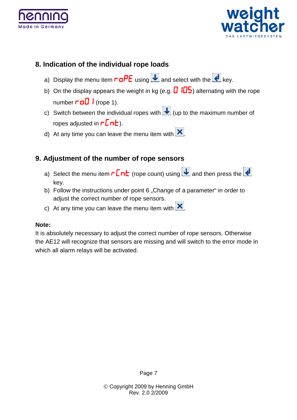![](_page_6_Picture_0.jpeg)

![](_page_6_Picture_1.jpeg)

### **8. Indication of the individual rope loads**

- a) Display the menu item  $\overline{r}$  or  $\overline{P}E$  using  $\overline{u}$  and select with the  $\overline{d}$  key.
- b) On the display appears the weight in kg (e.g.  $\Box$   $\Box$ ) alternating with the rope number  $\overline{\phantom{a}}$  (rope 1).
- c) Switch between the individual ropes with  $\bigcup$  (up to the maximum number of ropes adjusted in  $\mathsf{r}\mathsf{Ent}$ ).
- d) At any time you can leave the menu item with  $\mathbf x$ .

### **9. Adjustment of the number of rope sensors**

- a) Select the menu item  $\mathsf{r}\mathsf{Ent}$  (rope count) using  $\mathsf{\Psi}$  and then press the  $\mathsf{\Psi}$ key.
- b) Follow the instructions under point 6 "Change of a parameter" in order to adjust the correct number of rope sensors.
- c) At any time you can leave the menu item with  $\mathbf{x}$ .

#### **Note:**

It is absolutely necessary to adjust the correct number of rope sensors. Otherwise the AE12 will recognize that sensors are missing and will switch to the error mode in which all alarm relays will be activated.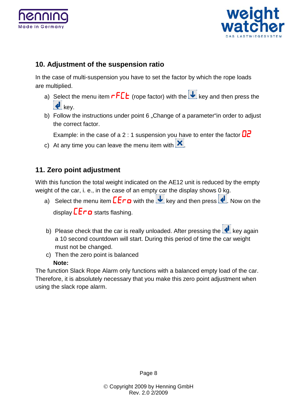![](_page_7_Picture_0.jpeg)

![](_page_7_Picture_1.jpeg)

# **10. Adjustment of the suspension ratio**

In the case of multi-suspension you have to set the factor by which the rope loads are multiplied.

- a) Select the menu item  $rF L$  (rope factor) with the  $\overline{\bigcup}$  key and then press the  $\epsilon$ , key.
- b) Follow the instructions under point 6 "Change of a parameter"in order to adjust the correct factor.

Example: in the case of a 2 : 1 suspension you have to enter the factor  $\mathbf{D}$ 

c) At any time you can leave the menu item with  $\mathbf{x}$ .

# **11. Zero point adjustment**

With this function the total weight indicated on the AE12 unit is reduced by the empty weight of the car, i. e., in the case of an empty car the display shows 0 kg.

- a) Select the menu item  $E F \circ$  with the  $\overline{\mathbf{V}}$  key and then press  $\overline{\mathbf{P}}$ . Now on the display  $\mathsf{E}\mathsf{F}\cap\mathsf{D}$  starts flashing.
- b) Please check that the car is really unloaded. After pressing the  $\bigcup$  key again a 10 second countdown will start. During this period of time the car weight must not be changed.
- c) Then the zero point is balanced **Note:**

The function Slack Rope Alarm only functions with a balanced empty load of the car. Therefore, it is absolutely necessary that you make this zero point adjustment when using the slack rope alarm.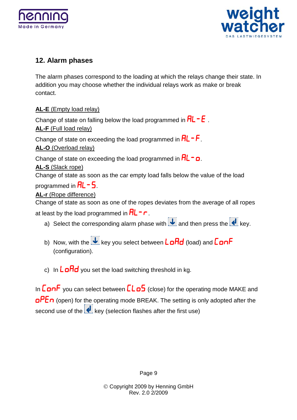![](_page_8_Picture_0.jpeg)

![](_page_8_Picture_1.jpeg)

# **12. Alarm phases**

The alarm phases correspond to the loading at which the relays change their state. In addition you may choose whether the individual relays work as make or break contact.

**AL-E** (Empty load relay)

Change of state on falling below the load programmed in  $HL - E$ . **AL-F** (Full load relay) Change of state on exceeding the load programmed in  $HL$  -  $F$ . **AL-O** (Overload relay) Change of state on exceeding the load programmed in  $\mathsf{RL} \cap \mathsf{Q}$ . **AL-S** (Slack rope) Change of state as soon as the car empty load falls below the value of the load programmed in  $\mathsf{RL}$  – 5. **AL-r** (Rope difference)

Change of state as soon as one of the ropes deviates from the average of all ropes at least by the load programmed in  $HL$  -  $\Gamma$ .

- a) Select the corresponding alarm phase with  $\blacktriangleright$  and then press the  $\blacktriangleright$  key.
- b) Now, with the  $\overline{\mathbf{t}}$  key you select between  $\overline{\mathbf{L}}$  on  $\overline{\mathbf{H}}$  (load) and  $\overline{\mathbf{L}}$  on  $\overline{\mathbf{F}}$ (configuration).
- c) In  $\mathsf{L}$  ond you set the load switching threshold in kg.

In  $\mathsf{L}$  an $\mathsf{F}$  you can select between  $\mathsf{L}\mathsf{L}\mathsf{d}\mathsf{S}$  (close) for the operating mode MAKE and  $\overline{OPE}$  (open) for the operating mode BREAK. The setting is only adopted after the second use of the  $\left| \cdot \right|$  key (selection flashes after the first use)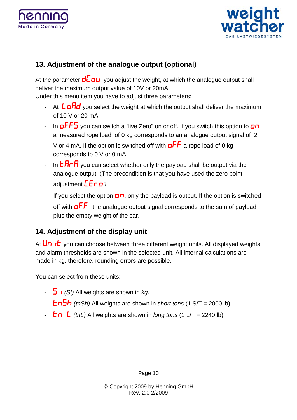![](_page_9_Picture_0.jpeg)

![](_page_9_Picture_1.jpeg)

# **13. Adjustment of the analogue output (optional)**

At the parameter  $\mathbf{d} \mathbf{C}$   $\mathbf{D} \mathbf{U}$  you adjust the weight, at which the analogue output shall deliver the maximum output value of 10V or 20mA.

Under this menu item you have to adjust three parameters:

- At  $L$   $\sigma$  $H$  $d$  you select the weight at which the output shall deliver the maximum of 10 V or 20 mA.
- In **oFF5** you can switch a "live Zero" on or off. If you switch this option to **on** a measured rope load of 0 kg corresponds to an analogue output signal of 2 V or 4 mA. If the option is switched off with  $a \overline{F} \overline{F}$  a rope load of 0 kg corresponds to 0 V or 0 mA.
- In  $E$  $H$  $F$  you can select whether only the payload shall be output via the analogue output. (The precondition is that you have used the zero point adjustment  $\mathsf{E}\mathsf{F}\mathsf{G}$

If you select the option  $\Box \Box$ , only the payload is output. If the option is switched off with  $\mathsf{a} \mathsf{F} \mathsf{F}$  the analogue output signal corresponds to the sum of payload plus the empty weight of the car.

# **14. Adjustment of the display unit**

At  $\bigcup_{n=1}^{\infty}$  vou can choose between three different weight units. All displayed weights and alarm thresholds are shown in the selected unit. All internal calculations are made in kg, therefore, rounding errors are possible.

You can select from these units:

- *(SI)* All weights are shown in *kg*.
- $\frac{1}{2}$  *(tnSh)* All weights are shown in *short tons* (1 S/T = 2000 lb).
- $\frac{1}{2}$  *(tnL)* All weights are shown in *long tons* (1 L/T = 2240 lb).

Page 10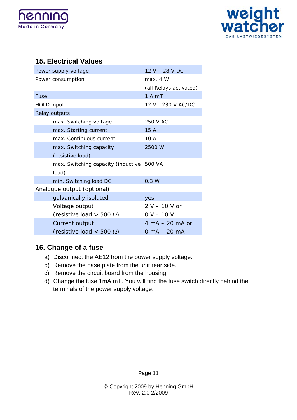![](_page_10_Picture_0.jpeg)

![](_page_10_Picture_1.jpeg)

# **15. Electrical Values**

| Power supply voltage                      | 12 V – 28 V DC                    |  |
|-------------------------------------------|-----------------------------------|--|
| Power consumption                         | max. 4 W                          |  |
|                                           | (all Relays activated)            |  |
| Fuse                                      | 1 A mT                            |  |
| HOLD input                                | 12 V - 230 V AC/DC                |  |
| Relay outputs                             |                                   |  |
| max. Switching voltage                    | 250 V AC                          |  |
| max. Starting current                     | 15A                               |  |
| max. Continuous current                   | 10 A                              |  |
| max. Switching capacity                   | 2500 W                            |  |
| (resistive load)                          |                                   |  |
| max. Switching capacity (inductive 500 VA |                                   |  |
| load)                                     |                                   |  |
| min. Switching load DC                    | 0.3 W                             |  |
| Analogue output (optional)                |                                   |  |
| galvanically isolated                     | <b>ves</b>                        |  |
| Voltage output                            | $2 V - 10 V$ or                   |  |
| (resistive load > 500 $\Omega$ )          | $0 V - 10 V$                      |  |
| Current output                            | $4 \text{ mA} - 20 \text{ mA}$ or |  |
| (resistive load < 500 $\Omega$ )          | 0 mA $-$ 20 mA                    |  |

# **16. Change of a fuse**

- a) Disconnect the AE12 from the power supply voltage.
- b) Remove the base plate from the unit rear side.
- c) Remove the circuit board from the housing.
- d) Change the fuse 1mA mT. You will find the fuse switch directly behind the terminals of the power supply voltage.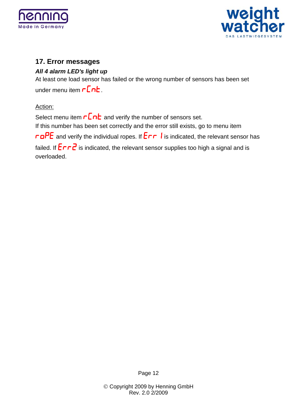![](_page_11_Picture_0.jpeg)

![](_page_11_Picture_1.jpeg)

# **17. Error messages**

#### *All 4 alarm LED's light up*

At least one load sensor has failed or the wrong number of sensors has been set under menu item  $\mathsf{r}\mathsf{Ent}$ .

#### Action:

Select menu item  $\mathsf{r}\mathsf{Enb}$  and verify the number of sensors set. If this number has been set correctly and the error still exists, go to menu item  $\overline{r}$ **DPE** and verify the individual ropes. If  $\overline{E r r}$  **i** is indicated, the relevant sensor has failed. If  $\overline{E}$   $\overline{r}$  is indicated, the relevant sensor supplies too high a signal and is overloaded.

Page 12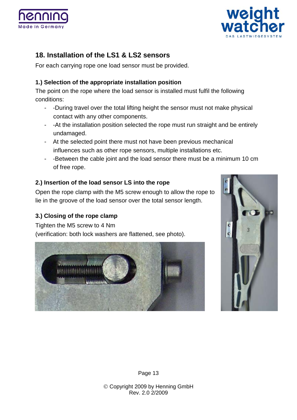![](_page_12_Picture_0.jpeg)

![](_page_12_Picture_1.jpeg)

# **18. Installation of the LS1 & LS2 sensors**

For each carrying rope one load sensor must be provided.

#### **1.) Selection of the appropriate installation position**

The point on the rope where the load sensor is installed must fulfil the following conditions:

- -During travel over the total lifting height the sensor must not make physical contact with any other components.
- -At the installation position selected the rope must run straight and be entirely undamaged.
- At the selected point there must not have been previous mechanical influences such as other rope sensors, multiple installations etc.
- -Between the cable joint and the load sensor there must be a minimum 10 cm of free rope.

#### **2.) Insertion of the load sensor LS into the rope**

Open the rope clamp with the M5 screw enough to allow the rope to lie in the groove of the load sensor over the total sensor length.

#### **3.) Closing of the rope clamp**

Tighten the M5 screw to 4 Nm (verification: both lock washers are flattened, see photo).

![](_page_12_Picture_14.jpeg)

![](_page_12_Picture_15.jpeg)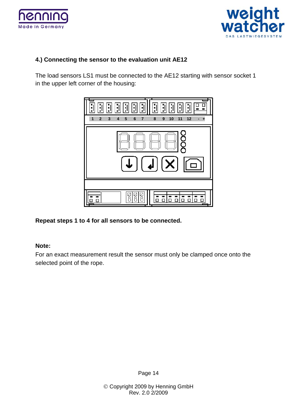![](_page_13_Picture_0.jpeg)

![](_page_13_Picture_1.jpeg)

#### **4.) Connecting the sensor to the evaluation unit AE12**

The load sensors LS1 must be connected to the AE12 starting with sensor socket 1 in the upper left corner of the housing:

![](_page_13_Figure_4.jpeg)

**Repeat steps 1 to 4 for all sensors to be connected.**

#### **Note:**

For an exact measurement result the sensor must only be clamped once onto the selected point of the rope.

Page 14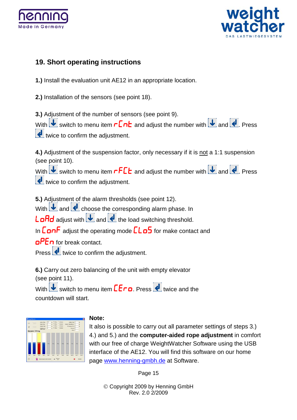![](_page_14_Picture_0.jpeg)

![](_page_14_Picture_1.jpeg)

# **19. Short operating instructions**

**1.)** Install the evaluation unit AE12 in an appropriate location.

**2.)** Installation of the sensors (see point 18).

**3.)** Adjustment of the number of sensors (see point 9).

With  $\overline{\mathbf{U}}$  switch to menu item  $\mathsf{r}\mathsf{Ln}$  and adjust the number with  $\overline{\mathbf{U}}$  and  $\overline{\mathbf{Q}}$ . Press twice to confirm the adjustment.

**4.)** Adjustment of the suspension factor, only necessary if it is not a 1:1 suspension (see point 10).

With  $\overline{\mathbf{U}}$  switch to menu item  $\mathsf{rFLE}$  and adjust the number with  $\overline{\mathbf{U}}$  and  $\overline{\mathbf{U}}$ . Press **t** twice to confirm the adjustment.

**5.)** Adjustment of the alarm thresholds (see point 12).

With  $\bigcup$  and  $\bigcup$  choose the corresponding alarm phase. In

 $L$ **and** adjust with  $\overline{\bigcup}$  and  $\overline{\bigcup}$  the load switching threshold.

In  $\mathsf{L}$  adjust the operating mode  $\mathsf{L}\mathsf{L}\mathsf{d}\mathsf{S}$  for make contact and

 $\mathsf{aPE}$  for break contact.

Press  $\bigoplus$  twice to confirm the adjustment.

**6.)** Carry out zero balancing of the unit with empty elevator (see point 11). With  $\overline{\mathbf{t}}$  switch to menu item  $\overline{\mathbf{E}}$  **Press**  $\overline{\mathbf{t}}$  twice and the countdown will start.

#### **Note:**

It also is possible to carry out all parameter settings of steps 3.) 4.) and 5.) and the **computer-aided rope adjustment** in comfort with our free of charge WeightWatcher Software using the USB interface of the AE12. You will find this software on our home page [www.henning-gmbh.de](http://www.henning-gmbh.de/) at Software.

Page 15